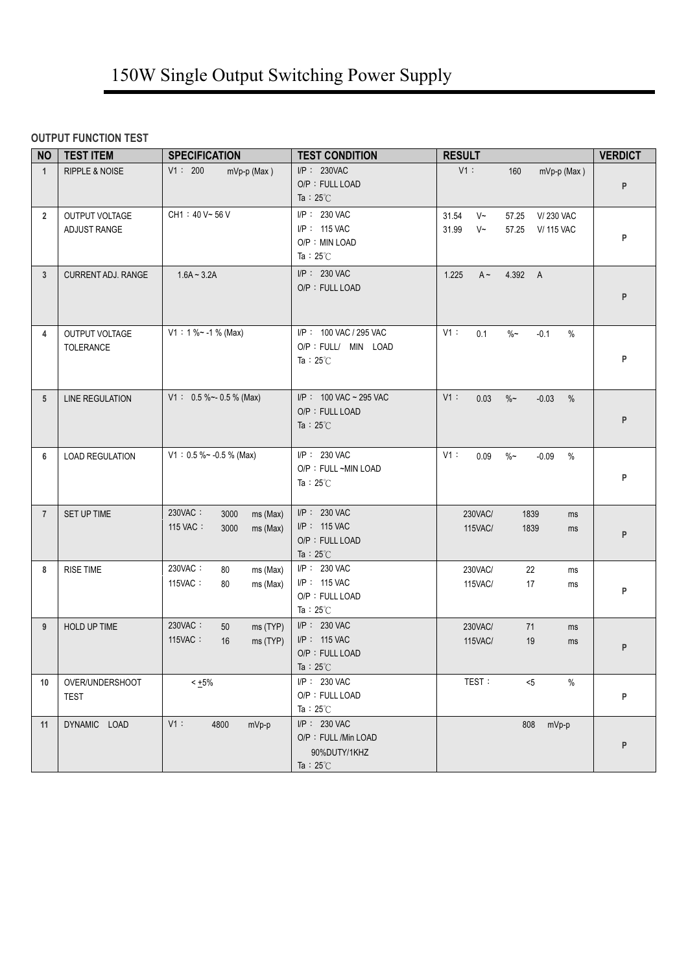## **OUTPUT FUNCTION TEST**

| <b>NO</b>      | <b>TEST ITEM</b>               | <b>SPECIFICATION</b>                                        | <b>TEST CONDITION</b>                                                      | <b>RESULT</b>                                                                           | <b>VERDICT</b> |
|----------------|--------------------------------|-------------------------------------------------------------|----------------------------------------------------------------------------|-----------------------------------------------------------------------------------------|----------------|
| $\mathbf{1}$   | <b>RIPPLE &amp; NOISE</b>      | V1: 200<br>mVp-p (Max)                                      | I/P: 230VAC<br>O/P: FULL LOAD<br>Ta : $25^{\circ}$ C                       | $V1$ :<br>$mVp-p$ (Max)<br>160                                                          | ${\sf P}$      |
| $\overline{2}$ | OUTPUT VOLTAGE<br>ADJUST RANGE | CH1: 40 V~56 V                                              | I/P: 230 VAC<br>I/P: 115 VAC<br>O/P: MIN LOAD<br>Ta : $25^{\circ}$ C       | 31.54<br>$V~\sim$<br>57.25<br>V/230 VAC<br>31.99<br>$V$ ~<br>57.25<br><b>V/ 115 VAC</b> | P              |
| $\mathbf{3}$   | <b>CURRENT ADJ. RANGE</b>      | $1.6A - 3.2A$                                               | I/P: 230 VAC<br>O/P: FULL LOAD                                             | 1.225<br>$A \sim$<br>4.392 A                                                            | P              |
| 4              | OUTPUT VOLTAGE<br>TOLERANCE    | $V1: 1 % ~ -1 % (Max)$                                      | I/P: 100 VAC / 295 VAC<br>O/P : FULL/ MIN LOAD<br>Ta: $25^{\circ}$ C       | $V1$ :<br>0.1<br>$\%$ ~<br>$-0.1$<br>$\%$                                               | P              |
| 5              | <b>LINE REGULATION</b>         | $V1: 0.5 % \sim 0.5 %$ (Max)                                | I/P: 100 VAC ~ 295 VAC<br>O/P: FULL LOAD<br>Ta : $25^{\circ}$ C            | V1:<br>0.03<br>$\%$ ~<br>$-0.03$<br>$\%$                                                | P              |
| 6              | <b>LOAD REGULATION</b>         | $V1: 0.5 % ~ -0.5 %$ (Max)                                  | I/P: 230 VAC<br>O/P: FULL ~MIN LOAD<br>Ta: $25^{\circ}$ C                  | V1:<br>0.09<br>$\%$ ~<br>$-0.09$<br>$\%$                                                | P              |
| $\overline{7}$ | SET UP TIME                    | 230VAC:<br>3000<br>ms (Max)<br>115 VAC:<br>ms (Max)<br>3000 | I/P: 230 VAC<br>I/P: 115 VAC<br>O/P: FULL LOAD<br>Ta: $25^{\circ}$ C       | 230VAC/<br>1839<br>ms<br>1839<br>115VAC/<br>ms                                          | P              |
| 8              | <b>RISE TIME</b>               | 230VAC:<br>80<br>ms (Max)<br>115VAC:<br>80<br>ms (Max)      | I/P: 230 VAC<br>I/P: 115 VAC<br>O/P: FULL LOAD<br>Ta: $25^{\circ}$ C       | 230VAC/<br>22<br>ms<br>17<br>115VAC/<br>ms                                              | P              |
| 9              | HOLD UP TIME                   | 230VAC:<br>ms (TYP)<br>50<br>115VAC:<br>ms (TYP)<br>16      | I/P: 230 VAC<br>I/P: 115 VAC<br>O/P: FULL LOAD<br>Ta: $25^{\circ}$ C       | 230VAC/<br>71<br>ms<br>115VAC/<br>19<br>ms                                              | P              |
| 10             | OVER/UNDERSHOOT<br>TEST        | $< +5\%$                                                    | I/P: 230 VAC<br>O/P: FULL LOAD<br>Ta: $25^{\circ}$ C                       | TEST:<br>$<$ 5<br>$\%$                                                                  | P              |
| 11             | DYNAMIC LOAD                   | V1:<br>4800<br>mVp-p                                        | I/P: 230 VAC<br>O/P: FULL /Min LOAD<br>90%DUTY/1KHZ<br>Ta : $25^{\circ}$ C | mVp-p<br>808                                                                            | P              |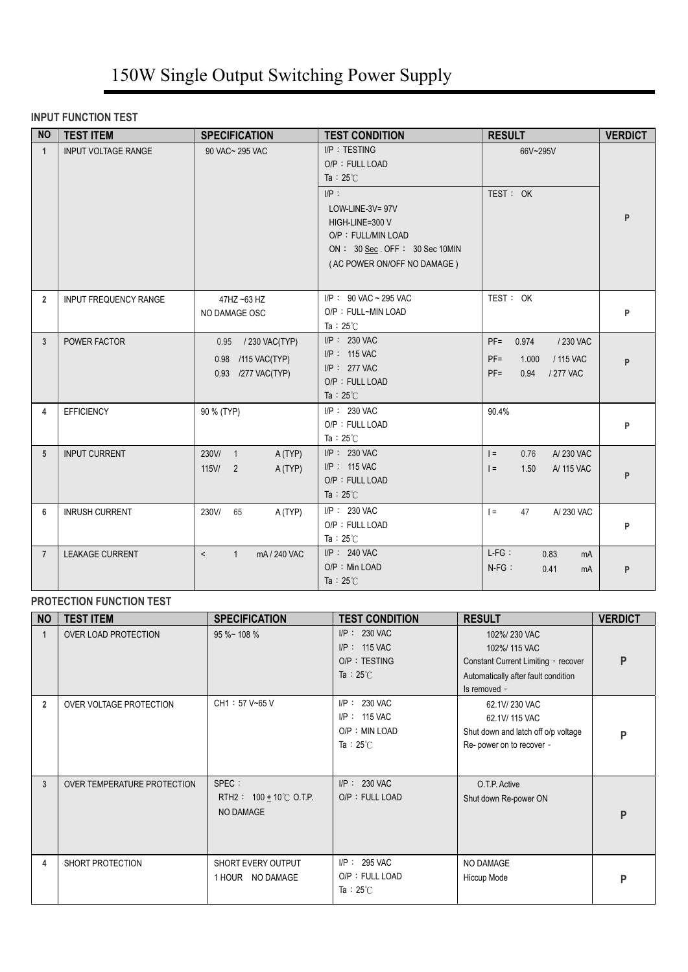### **INPUT FUNCTION TEST**

| <b>NO</b>      | <b>TEST ITEM</b>             | <b>SPECIFICATION</b>                                                     | <b>TEST CONDITION</b>                                                                                                                                                                        | <b>RESULT</b>                                                                               | <b>VERDICT</b> |
|----------------|------------------------------|--------------------------------------------------------------------------|----------------------------------------------------------------------------------------------------------------------------------------------------------------------------------------------|---------------------------------------------------------------------------------------------|----------------|
| $\mathbf{1}$   | <b>INPUT VOLTAGE RANGE</b>   | 90 VAC~ 295 VAC                                                          | I/P: TESTING<br>O/P: FULL LOAD<br>Ta : $25^{\circ}$ C<br>$I/P$ :<br>LOW-LINE-3V=97V<br>HIGH-LINE=300 V<br>O/P: FULL/MIN LOAD<br>ON: 30 Sec. OFF: 30 Sec 10MIN<br>(AC POWER ON/OFF NO DAMAGE) | 66V~295V<br>TEST: OK                                                                        | P              |
| $\overline{2}$ | <b>INPUT FREQUENCY RANGE</b> | 47HZ ~63 HZ<br>NO DAMAGE OSC                                             | $I/P$ : 90 VAC ~ 295 VAC<br>O/P: FULL~MIN LOAD<br>Ta : $25^{\circ}$ C                                                                                                                        | TEST: OK                                                                                    | P              |
| 3              | POWER FACTOR                 | 0.95 / 230 VAC(TYP)<br>0.98 /115 VAC(TYP)<br>0.93 /277 VAC(TYP)          | $I/P$ : 230 VAC<br>I/P: 115 VAC<br>$I/P$ : 277 VAC<br>O/P: FULL LOAD<br>Ta : $25^{\circ}$ C                                                                                                  | $PF =$<br>0.974<br>/ 230 VAC<br>/ 115 VAC<br>$PF =$<br>1.000<br>$PF =$<br>0.94<br>/ 277 VAC | P              |
| 4              | <b>EFFICIENCY</b>            | 90 % (TYP)                                                               | I/P: 230 VAC<br>O/P: FULL LOAD<br>Ta : $25^{\circ}$ C                                                                                                                                        | 90.4%                                                                                       | P              |
| 5              | <b>INPUT CURRENT</b>         | 230V/<br>A (TYP)<br>$\overline{1}$<br>115V/<br>A (TYP)<br>$\overline{2}$ | I/P: 230 VAC<br>$I/P$ : 115 VAC<br>O/P: FULL LOAD<br>Ta : $25^{\circ}$ C                                                                                                                     | $=$<br>A/230 VAC<br>0.76<br>$=$<br>1.50<br>A/ 115 VAC                                       | P              |
| 6              | <b>INRUSH CURRENT</b>        | 230V/<br>65<br>A (TYP)                                                   | $I/P$ : 230 VAC<br>O/P: FULL LOAD<br>Ta: $25^{\circ}$ C                                                                                                                                      | 47<br>A/230 VAC<br>$=$                                                                      | P              |
| $\overline{7}$ | <b>LEAKAGE CURRENT</b>       | $\prec$<br>mA / 240 VAC<br>1                                             | $I/P$ : 240 VAC<br>$O/P$ : Min LOAD<br>Ta : $25^{\circ}$ C                                                                                                                                   | $L-FG$ :<br>0.83<br>mA<br>$N-FG$ :<br>0.41<br>mA                                            | P              |

### **PROTECTION FUNCTION TEST**

| <b>NO</b>      | <b>TEST ITEM</b>            | <b>SPECIFICATION</b>                                      | <b>TEST CONDITION</b>                                                     | <b>RESULT</b>                                                                                                               | <b>VERDICT</b> |
|----------------|-----------------------------|-----------------------------------------------------------|---------------------------------------------------------------------------|-----------------------------------------------------------------------------------------------------------------------------|----------------|
| 1              | OVER LOAD PROTECTION        | 95 %~ 108 %                                               | $I/P$ : 230 VAC<br>$I/P$ : 115 VAC<br>O/P: TESTING<br>Ta : $25^{\circ}$ C | 102%/230 VAC<br>102%/ 115 VAC<br>Constant Current Limiting , recover<br>Automatically after fault condition<br>Is removed • | P              |
| $\overline{2}$ | OVER VOLTAGE PROTECTION     | CH1: 57 V~65 V                                            | $I/P$ : 230 VAC<br>$I/P$ : 115 VAC<br>O/P: MIN LOAD<br>Ta: $25^{\circ}$ C | 62.1V/230 VAC<br>62.1V/ 115 VAC<br>Shut down and latch off o/p voltage<br>Re- power on to recover .                         | Þ              |
| 3              | OVER TEMPERATURE PROTECTION | SPEC :<br>RTH2 : $100 + 10^{\circ}$ C O.T.P.<br>NO DAMAGE | $I/P$ : 230 VAC<br>O/P: FULL LOAD                                         | O.T.P. Active<br>Shut down Re-power ON                                                                                      | P              |
| 4              | SHORT PROTECTION            | SHORT EVERY OUTPUT<br>1 HOUR NO DAMAGE                    | $I/P$ : 295 VAC<br>O/P: FULL LOAD<br>Ta : $25^{\circ}$ C                  | NO DAMAGE<br>Hiccup Mode                                                                                                    | P              |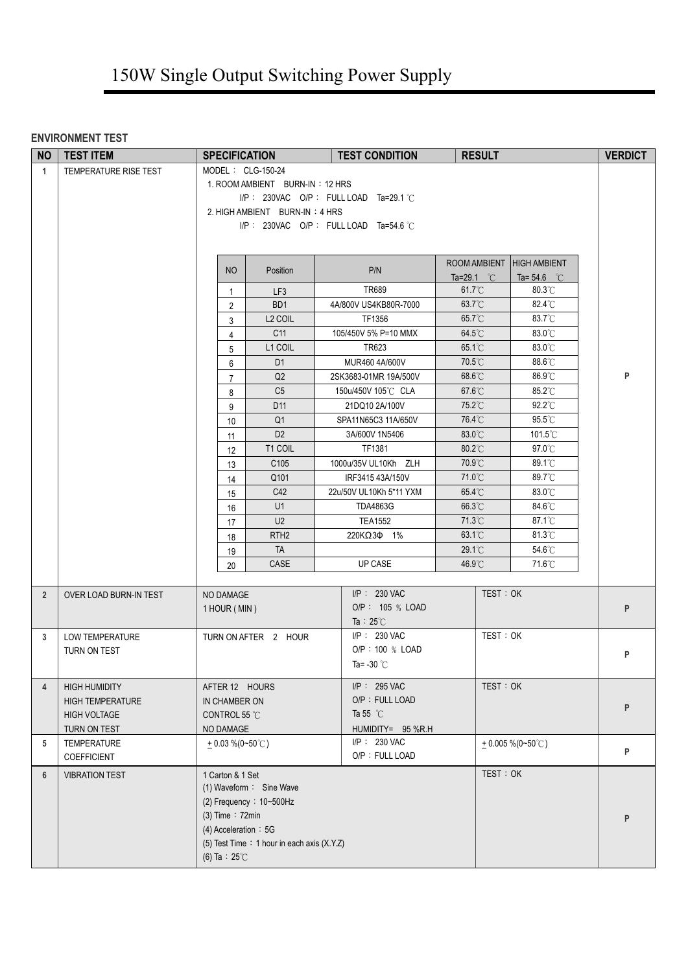### **ENVIRONMENT TEST**

| <b>NO</b>      | <b>TEST ITEM</b>                    | <b>SPECIFICATION</b>       |                                             | <b>TEST CONDITION</b>                    | <b>RESULT</b>        |                      | <b>VERDICT</b> |
|----------------|-------------------------------------|----------------------------|---------------------------------------------|------------------------------------------|----------------------|----------------------|----------------|
| $\mathbf{1}$   | TEMPERATURE RISE TEST               | MODEL: CLG-150-24          |                                             |                                          |                      |                      |                |
|                |                                     |                            | 1. ROOM AMBIENT BURN-IN: 12 HRS             |                                          |                      |                      |                |
|                |                                     |                            |                                             | $I/P$ : 230VAC O/P: FULL LOAD Ta=29.1 °C |                      |                      |                |
|                |                                     |                            | 2. HIGH AMBIENT BURN-IN: 4 HRS              |                                          |                      |                      |                |
|                |                                     |                            |                                             | $I/P$ : 230VAC O/P: FULL LOAD Ta=54.6 °C |                      |                      |                |
|                |                                     |                            |                                             |                                          |                      |                      |                |
|                |                                     |                            |                                             |                                          | ROOM AMBIENT         | <b>HIGH AMBIENT</b>  |                |
|                |                                     | <b>NO</b>                  | Position                                    | P/N                                      | Ta=29.1 $^{\circ}$ C | Ta= 54.6 $\degree$ C |                |
|                |                                     | $\mathbf{1}$               | LF <sub>3</sub>                             | <b>TR689</b>                             | $61.7^{\circ}$ C     | $80.3^{\circ}$ C     |                |
|                |                                     | $\overline{2}$             | BD <sub>1</sub>                             | 4A/800V US4KB80R-7000                    | 63.7°C               | 82.4°C               |                |
|                |                                     | 3                          | L <sub>2</sub> COIL                         | TF1356                                   | 65.7°C               | 83.7°C               |                |
|                |                                     | $\overline{4}$             | C11                                         | 105/450V 5% P=10 MMX                     | 64.5°C               | 83.0°C               |                |
|                |                                     | 5                          | L1 COIL                                     | TR623                                    | 65.1°C               | 83.0°C               |                |
|                |                                     | 6                          | D <sub>1</sub>                              | MUR460 4A/600V                           | 70.5°C               | 88.6°C               |                |
|                |                                     | $\overline{7}$             | Q2                                          | 2SK3683-01MR 19A/500V                    | $68.6^{\circ}$ C     | 86.9°C               | P              |
|                |                                     | 8                          | C <sub>5</sub>                              | 150u/450V 105℃ CLA                       | 67.6°C               | 85.2°C               |                |
|                |                                     | 9                          | D11                                         | 21DQ10 2A/100V                           | 75.2°C               | 92.2°C               |                |
|                |                                     | 10                         | Q <sub>1</sub>                              | SPA11N65C3 11A/650V                      | 76.4°C               | 95.5°C               |                |
|                |                                     | 11                         | D <sub>2</sub>                              | 3A/600V 1N5406                           | 83.0°C               | 101.5°C              |                |
|                |                                     | 12                         | T1 COIL                                     | TF1381                                   | 80.2°C               | 97.0°C               |                |
|                |                                     | 13                         | C105                                        | 1000u/35V UL10Kh ZLH                     | $70.9^{\circ}$ C     | 89.1°C               |                |
|                |                                     | 14                         | Q101                                        | IRF3415 43A/150V                         | 71.0°C               | 89.7°C               |                |
|                |                                     | 15                         | C42                                         | 22u/50V UL10Kh 5*11 YXM                  | 65.4°C               | 83.0°C               |                |
|                |                                     | 16                         | U1                                          | <b>TDA4863G</b>                          | 66.3°C               | 84.6°C               |                |
|                |                                     | 17                         | U <sub>2</sub>                              | <b>TEA1552</b>                           | 71.3°C               | 87.1°C               |                |
|                |                                     | 18                         | RTH <sub>2</sub>                            | 220KΩ3Φ 1%                               | 63.1°C               | 81.3°C               |                |
|                |                                     | 19                         | <b>TA</b>                                   |                                          | $29.1^{\circ}$       | 54.6°C               |                |
|                |                                     | 20                         | CASE                                        | UP CASE                                  | $46.9^{\circ}$ C     | 71.6°C               |                |
|                |                                     |                            |                                             | I/P: 230 VAC                             | TEST: OK             |                      |                |
| $\overline{2}$ | OVER LOAD BURN-IN TEST              | NO DAMAGE                  |                                             | O/P: 105 % LOAD                          |                      |                      | P              |
|                |                                     | 1 HOUR (MIN)               |                                             | Ta : $25^{\circ}$ C                      |                      |                      |                |
| 3              | LOW TEMPERATURE                     |                            | TURN ON AFTER 2 HOUR                        | I/P: 230 VAC                             | TEST: OK             |                      |                |
|                | TURN ON TEST                        |                            |                                             | O/P: 100 % LOAD                          |                      |                      |                |
|                |                                     |                            |                                             | Ta= $-30$ °C                             |                      |                      | P              |
|                |                                     |                            |                                             |                                          |                      |                      |                |
| 4              | <b>HIGH HUMIDITY</b>                | AFTER 12 HOURS             |                                             | $I/P$ : 295 VAC<br>O/P: FULL LOAD        | TEST: OK             |                      |                |
|                | <b>HIGH TEMPERATURE</b>             | IN CHAMBER ON              |                                             | Ta 55 $^{\circ}$ C                       |                      |                      | P              |
|                | <b>HIGH VOLTAGE</b><br>TURN ON TEST | CONTROL 55 °C<br>NO DAMAGE |                                             | HUMIDITY= 95 %R.H                        |                      |                      |                |
| 5              | <b>TEMPERATURE</b>                  | $+0.03\%$ (0~50°C)         |                                             | I/P: 230 VAC                             |                      | $+0.005\%$ (0~50°C)  |                |
|                | COEFFICIENT                         |                            |                                             | O/P: FULL LOAD                           |                      |                      | P              |
| 6              | <b>VIBRATION TEST</b>               | 1 Carton & 1 Set           |                                             |                                          | TEST: OK             |                      |                |
|                |                                     |                            | (1) Waveform: Sine Wave                     |                                          |                      |                      |                |
|                |                                     |                            | (2) Frequency: 10~500Hz                     |                                          |                      |                      |                |
|                |                                     | (3) Time: 72min            |                                             |                                          |                      |                      | P              |
|                |                                     | (4) Acceleration: 5G       |                                             |                                          |                      |                      |                |
|                |                                     |                            | (5) Test Time : 1 hour in each axis (X.Y.Z) |                                          |                      |                      |                |
|                |                                     | (6) Ta : $25^{\circ}$ C    |                                             |                                          |                      |                      |                |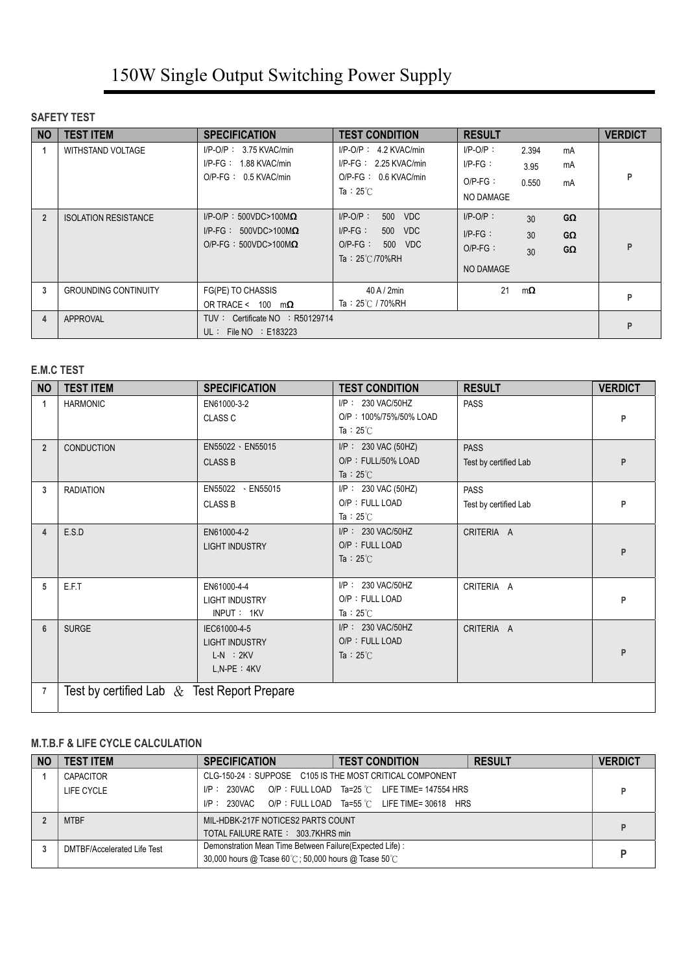#### **SAFETY TEST**

| <b>NO</b>      | <b>TEST ITEM</b>            | <b>SPECIFICATION</b>                                                                              | <b>TEST CONDITION</b>                                                                                   | <b>RESULT</b>                                               |                                                | <b>VERDICT</b> |
|----------------|-----------------------------|---------------------------------------------------------------------------------------------------|---------------------------------------------------------------------------------------------------------|-------------------------------------------------------------|------------------------------------------------|----------------|
|                | <b>WITHSTAND VOLTAGE</b>    | $I/P$ -O/P: 3.75 KVAC/min<br>$I/P-FG: 1.88$ KVAC/min<br>$O/P$ -FG: 0.5 KVAC/min                   | $I/P-O/P$ : 4.2 KVAC/min<br>$I/P-FG: 2.25$ KVAC/min<br>$O/P-FG: 0.6$ KVAC/min<br>Ta: $25^{\circ}$ C     | $I/P$ -O/P:<br>$I/P-FG$ :<br>$O/P-FG$ :<br>NO DAMAGE        | 2.394<br>mA<br>mA<br>3.95<br>0.550<br>mA       | P              |
| $\overline{2}$ | <b>ISOLATION RESISTANCE</b> | $I/P$ -O/P: 500VDC>100M $\Omega$<br>$I/P-FG: 500VDC>100M\Omega$<br>$O/P-FG : 500VDC > 100M\Omega$ | $I/P-O/P$ :<br>500 VDC<br>$I/P-FG$ :<br>VDC<br>500<br>$O/P-FG$ :<br>500 VDC<br>Ta: $25^{\circ}$ C/70%RH | $I/P-O/P$ :<br>$I/P-FG$ :<br>$O/P-FG$ :<br><b>NO DAMAGE</b> | GΩ<br>30<br>30<br>$G\Omega$<br>$G\Omega$<br>30 | P              |
| 3              | <b>GROUNDING CONTINUITY</b> | FG(PE) TO CHASSIS<br>OR TRACE < $100 \text{ m}\Omega$                                             | $40$ A / $2$ min<br>Ta: 25℃ / 70%RH                                                                     | 21                                                          | $m\Omega$                                      | P              |
| 4              | APPROVAL                    | TUV: Certificate NO : R50129714<br>UL: File $NO$ : E183223                                        |                                                                                                         |                                                             |                                                | P              |

#### **E.M.C TEST**

| <b>NO</b>      | <b>TEST ITEM</b>                               | <b>SPECIFICATION</b>                                                      | <b>TEST CONDITION</b>                                               | <b>RESULT</b>                        | <b>VERDICT</b> |
|----------------|------------------------------------------------|---------------------------------------------------------------------------|---------------------------------------------------------------------|--------------------------------------|----------------|
| $\mathbf{1}$   | <b>HARMONIC</b>                                | EN61000-3-2<br>CLASS C                                                    | I/P: 230 VAC/50HZ<br>O/P: 100%/75%/50% LOAD<br>Ta: $25^{\circ}$ C   | <b>PASS</b>                          | P              |
| $\overline{2}$ | CONDUCTION                                     | EN55022 · EN55015<br><b>CLASS B</b>                                       | $I/P$ : 230 VAC (50HZ)<br>O/P: FULL/50% LOAD<br>Ta : $25^{\circ}$ C | <b>PASS</b><br>Test by certified Lab | P              |
| 3              | <b>RADIATION</b>                               | EN55022 · EN55015<br><b>CLASS B</b>                                       | $I/P$ : 230 VAC (50HZ)<br>O/P: FULL LOAD<br>Ta: $25^{\circ}$ C      | <b>PASS</b><br>Test by certified Lab | P              |
| 4              | E.S.D                                          | EN61000-4-2<br><b>LIGHT INDUSTRY</b>                                      | I/P: 230 VAC/50HZ<br>O/P: FULL LOAD<br>Ta : $25^{\circ}$ C          | CRITERIA A                           | P              |
| 5              | E.F.T                                          | EN61000-4-4<br><b>LIGHT INDUSTRY</b><br>INPUT: 1KV                        | I/P: 230 VAC/50HZ<br>O/P: FULL LOAD<br>Ta: $25^{\circ}$ C           | CRITERIA A                           | P              |
| $6\phantom{1}$ | <b>SURGE</b>                                   | IEC61000-4-5<br><b>LIGHT INDUSTRY</b><br>$L-N$ : $2KV$<br>$L, N-PE : 4KV$ | I/P: 230 VAC/50HZ<br>O/P: FULL LOAD<br>Ta : 25 $\degree$ C          | CRITERIA A                           | P              |
| $\overline{7}$ | Test by certified Lab $\&$ Test Report Prepare |                                                                           |                                                                     |                                      |                |

#### **M.T.B.F & LIFE CYCLE CALCULATION**

| <b>NO</b> | <b>TEST ITEM</b>            | <b>SPECIFICATION</b>                                     | <b>TEST CONDITION</b>                                         | <b>RESULT</b> | <b>VERDICT</b> |
|-----------|-----------------------------|----------------------------------------------------------|---------------------------------------------------------------|---------------|----------------|
|           | <b>CAPACITOR</b>            | CLG-150-24: SUPPOSE C105 IS THE MOST CRITICAL COMPONENT  |                                                               |               |                |
|           | LIFE CYCLE                  |                                                          | $I/P$ : 230VAC O/P : FULL LOAD Ta=25 °C LIFE TIME= 147554 HRS |               |                |
|           |                             |                                                          | $I/P$ : 230VAC O/P : FULL LOAD Ta=55 °C LIFE TIME= 30618 HRS  |               |                |
|           | <b>MTBF</b>                 | MIL-HDBK-217F NOTICES2 PARTS COUNT                       |                                                               |               |                |
|           |                             | TOTAL FAILURE RATE: 303.7KHRS min                        |                                                               |               |                |
|           | DMTBF/Accelerated Life Test | Demonstration Mean Time Between Failure(Expected Life) : |                                                               |               |                |
|           |                             | 30,000 hours @ Tcase 60°C; 50,000 hours @ Tcase 50°C     |                                                               |               |                |